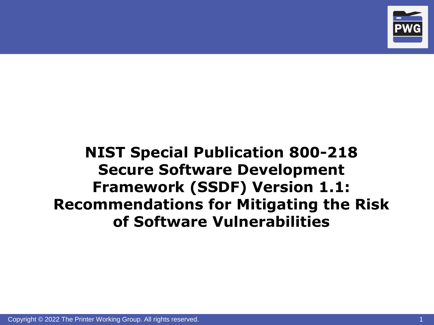

#### **NIST Special Publication 800-218 Secure Software Development Framework (SSDF) Version 1.1: Recommendations for Mitigating the Risk of Software Vulnerabilities**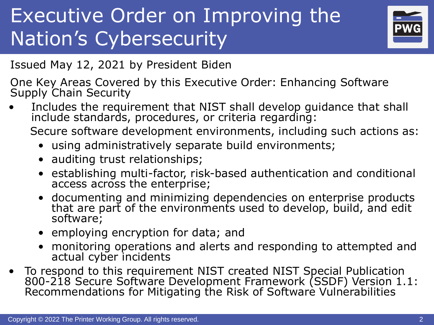# Executive Order on Improving the Nation's Cybersecurity



Issued May 12, 2021 by President Biden

One Key Areas Covered by this Executive Order: Enhancing Software Supply Chain Security

• Includes the requirement that NIST shall develop guidance that shall include standards, procedures, or criteria regarding:

Secure software development environments, including such actions as:

- using administratively separate build environments;
- auditing trust relationships;
- establishing multi-factor, risk-based authentication and conditional access across the enterprise;
- documenting and minimizing dependencies on enterprise products that are part of the environments used to develop, build, and edit software;
- employing encryption for data; and
- monitoring operations and alerts and responding to attempted and actual cyber incidents
- To respond to this requirement NIST created NIST Special Publication 800-218 Secure Software Development Framework (SSDF) Version 1.1: Recommendations for Mitigating the Risk of Software Vulnerabilities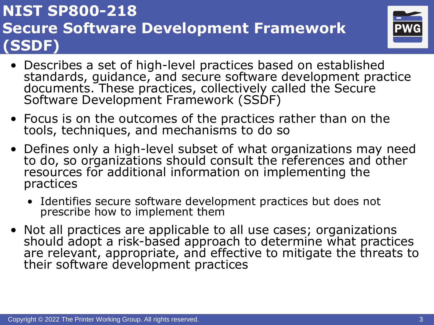

- Describes a set of high-level practices based on established standards, guidance, and secure software development practice documents. These practices, collectively called the Secure Software Development Framework (SSDF)
- Focus is on the outcomes of the practices rather than on the tools, techniques, and mechanisms to do so
- Defines only a high-level subset of what organizations may need to do, so organizations should consult the references and other resources for additional information on implementing the practices
	- Identifies secure software development practices but does not prescribe how to implement them
- Not all practices are applicable to all use cases; organizations should adopt a risk-based approach to determine what practices are relevant, appropriate, and effective to mitigate the threats to their software development practices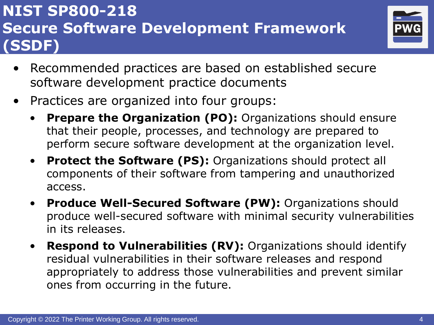

- Recommended practices are based on established secure software development practice documents
- Practices are organized into four groups:
	- **Prepare the Organization (PO):** Organizations should ensure that their people, processes, and technology are prepared to perform secure software development at the organization level.
	- **Protect the Software (PS):** Organizations should protect all components of their software from tampering and unauthorized access.
	- **Produce Well-Secured Software (PW):** Organizations should produce well-secured software with minimal security vulnerabilities in its releases.
	- **Respond to Vulnerabilities (RV):** Organizations should identify residual vulnerabilities in their software releases and respond appropriately to address those vulnerabilities and prevent similar ones from occurring in the future.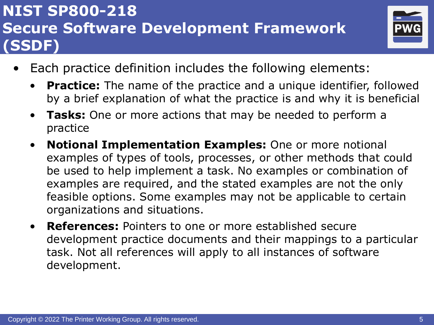

- Each practice definition includes the following elements:
	- **Practice:** The name of the practice and a unique identifier, followed by a brief explanation of what the practice is and why it is beneficial
	- **Tasks:** One or more actions that may be needed to perform a practice
	- **Notional Implementation Examples:** One or more notional examples of types of tools, processes, or other methods that could be used to help implement a task. No examples or combination of examples are required, and the stated examples are not the only feasible options. Some examples may not be applicable to certain organizations and situations.
	- **References:** Pointers to one or more established secure development practice documents and their mappings to a particular task. Not all references will apply to all instances of software development.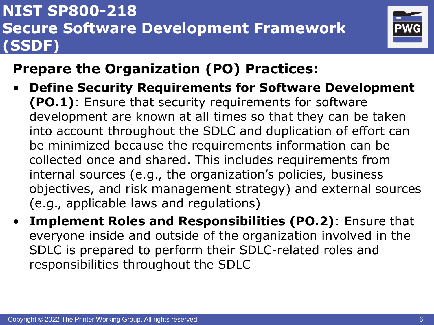

## **Prepare the Organization (PO) Practices:**

- **Define Security Requirements for Software Development (PO.1)**: Ensure that security requirements for software development are known at all times so that they can be taken into account throughout the SDLC and duplication of effort can be minimized because the requirements information can be collected once and shared. This includes requirements from internal sources (e.g., the organization's policies, business objectives, and risk management strategy) and external sources (e.g., applicable laws and regulations)
- **Implement Roles and Responsibilities (PO.2)**: Ensure that everyone inside and outside of the organization involved in the SDLC is prepared to perform their SDLC-related roles and responsibilities throughout the SDLC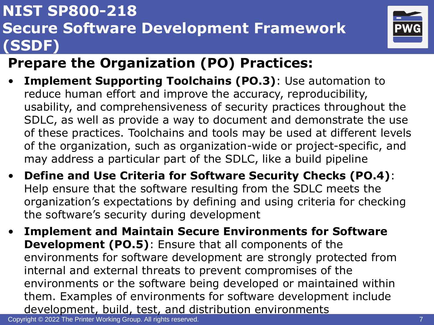

# **Prepare the Organization (PO) Practices:**

- **Implement Supporting Toolchains (PO.3)**: Use automation to reduce human effort and improve the accuracy, reproducibility, usability, and comprehensiveness of security practices throughout the SDLC, as well as provide a way to document and demonstrate the use of these practices. Toolchains and tools may be used at different levels of the organization, such as organization-wide or project-specific, and may address a particular part of the SDLC, like a build pipeline
- **Define and Use Criteria for Software Security Checks (PO.4)**: Help ensure that the software resulting from the SDLC meets the organization's expectations by defining and using criteria for checking the software's security during development
- **Implement and Maintain Secure Environments for Software Development (PO.5)**: Ensure that all components of the environments for software development are strongly protected from internal and external threats to prevent compromises of the environments or the software being developed or maintained within them. Examples of environments for software development include development, build, test, and distribution environments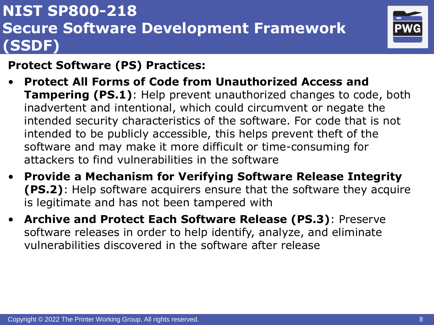

#### **Protect Software (PS) Practices:**

- **Protect All Forms of Code from Unauthorized Access and Tampering (PS.1)**: Help prevent unauthorized changes to code, both inadvertent and intentional, which could circumvent or negate the intended security characteristics of the software. For code that is not intended to be publicly accessible, this helps prevent theft of the software and may make it more difficult or time-consuming for attackers to find vulnerabilities in the software
- **Provide a Mechanism for Verifying Software Release Integrity (PS.2)**: Help software acquirers ensure that the software they acquire is legitimate and has not been tampered with
- **Archive and Protect Each Software Release (PS.3)**: Preserve software releases in order to help identify, analyze, and eliminate vulnerabilities discovered in the software after release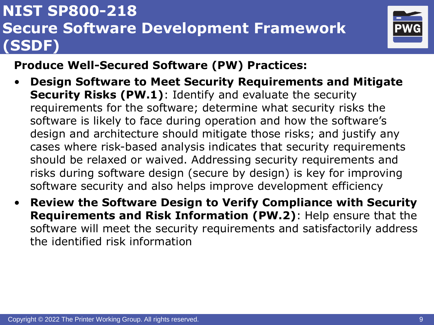

#### **Produce Well-Secured Software (PW) Practices:**

- **Design Software to Meet Security Requirements and Mitigate Security Risks (PW.1)**: Identify and evaluate the security requirements for the software; determine what security risks the software is likely to face during operation and how the software's design and architecture should mitigate those risks; and justify any cases where risk-based analysis indicates that security requirements should be relaxed or waived. Addressing security requirements and risks during software design (secure by design) is key for improving software security and also helps improve development efficiency
- **Review the Software Design to Verify Compliance with Security Requirements and Risk Information (PW.2)**: Help ensure that the software will meet the security requirements and satisfactorily address the identified risk information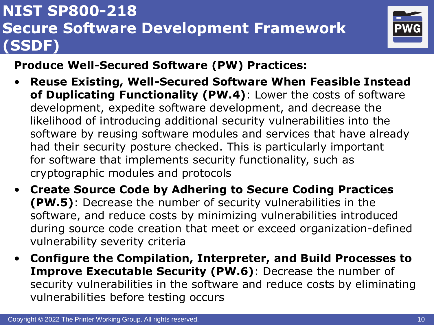

#### **Produce Well-Secured Software (PW) Practices:**

- **Reuse Existing, Well-Secured Software When Feasible Instead of Duplicating Functionality (PW.4)**: Lower the costs of software development, expedite software development, and decrease the likelihood of introducing additional security vulnerabilities into the software by reusing software modules and services that have already had their security posture checked. This is particularly important for software that implements security functionality, such as cryptographic modules and protocols
- **Create Source Code by Adhering to Secure Coding Practices (PW.5)**: Decrease the number of security vulnerabilities in the software, and reduce costs by minimizing vulnerabilities introduced during source code creation that meet or exceed organization-defined vulnerability severity criteria
- **Configure the Compilation, Interpreter, and Build Processes to Improve Executable Security (PW.6)**: Decrease the number of security vulnerabilities in the software and reduce costs by eliminating vulnerabilities before testing occurs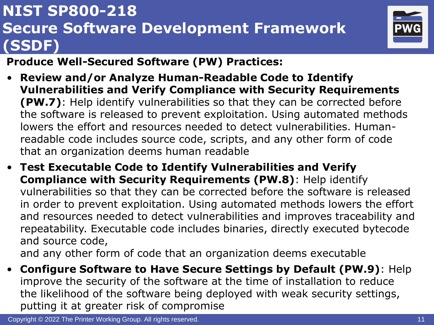

#### **Produce Well-Secured Software (PW) Practices:**

- **Review and/or Analyze Human-Readable Code to Identify Vulnerabilities and Verify Compliance with Security Requirements (PW.7)**: Help identify vulnerabilities so that they can be corrected before the software is released to prevent exploitation. Using automated methods lowers the effort and resources needed to detect vulnerabilities. Humanreadable code includes source code, scripts, and any other form of code that an organization deems human readable
- **Test Executable Code to Identify Vulnerabilities and Verify Compliance with Security Requirements (PW.8)**: Help identify vulnerabilities so that they can be corrected before the software is released in order to prevent exploitation. Using automated methods lowers the effort and resources needed to detect vulnerabilities and improves traceability and repeatability. Executable code includes binaries, directly executed bytecode and source code, and any other form of code that an organization deems executable
- **Configure Software to Have Secure Settings by Default (PW.9)**: Help improve the security of the software at the time of installation to reduce the likelihood of the software being deployed with weak security settings, putting it at greater risk of compromise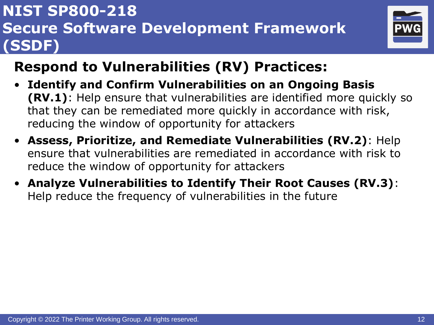

### **Respond to Vulnerabilities (RV) Practices:**

- **Identify and Confirm Vulnerabilities on an Ongoing Basis (RV.1)**: Help ensure that vulnerabilities are identified more quickly so that they can be remediated more quickly in accordance with risk, reducing the window of opportunity for attackers
- **Assess, Prioritize, and Remediate Vulnerabilities (RV.2)**: Help ensure that vulnerabilities are remediated in accordance with risk to reduce the window of opportunity for attackers
- **Analyze Vulnerabilities to Identify Their Root Causes (RV.3)**: Help reduce the frequency of vulnerabilities in the future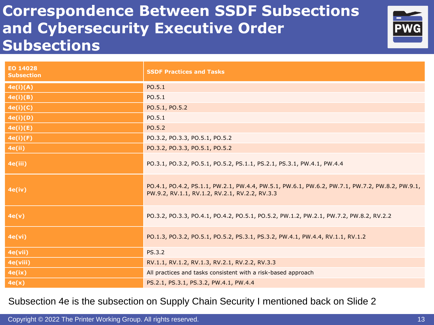#### **Correspondence Between SSDF Subsections and Cybersecurity Executive Order Subsections**



| EO 14028<br><b>Subsection</b> | <b>SSDF Practices and Tasks</b>                                                                                                                   |
|-------------------------------|---------------------------------------------------------------------------------------------------------------------------------------------------|
| 4e(i)(A)                      | PO.5.1                                                                                                                                            |
| 4e(i)(B)                      | PO.5.1                                                                                                                                            |
| 4e(i)(C)                      | PO.5.1, PO.5.2                                                                                                                                    |
| 4e(i)(D)                      | PO.5.1                                                                                                                                            |
| 4e(i)(E)                      | PO.5.2                                                                                                                                            |
| 4e(i)(F)                      | PO.3.2, PO.3.3, PO.5.1, PO.5.2                                                                                                                    |
| <b>4e(ii)</b>                 | PO.3.2, PO.3.3, PO.5.1, PO.5.2                                                                                                                    |
| 4e(iii)                       | PO.3.1, PO.3.2, PO.5.1, PO.5.2, PS.1.1, PS.2.1, PS.3.1, PW.4.1, PW.4.4                                                                            |
| 4e(iv)                        | PO.4.1, PO.4.2, PS.1.1, PW.2.1, PW.4.4, PW.5.1, PW.6.1, PW.6.2, PW.7.1, PW.7.2, PW.8.2, PW.9.1,<br>PW.9.2, RV.1.1, RV.1.2, RV.2.1, RV.2.2, RV.3.3 |
| 4e(v)                         | PO.3.2, PO.3.3, PO.4.1, PO.4.2, PO.5.1, PO.5.2, PW.1.2, PW.2.1, PW.7.2, PW.8.2, RV.2.2                                                            |
| 4e(vi)                        | PO.1.3, PO.3.2, PO.5.1, PO.5.2, PS.3.1, PS.3.2, PW.4.1, PW.4.4, RV.1.1, RV.1.2                                                                    |
| 4e(vii)                       | <b>PS.3.2</b>                                                                                                                                     |
| 4e(viii)                      | RV.1.1, RV.1.2, RV.1.3, RV.2.1, RV.2.2, RV.3.3                                                                                                    |
| 4e(ix)                        | All practices and tasks consistent with a risk-based approach                                                                                     |
| 4e(x)                         | PS.2.1, PS.3.1, PS.3.2, PW.4.1, PW.4.4                                                                                                            |

Subsection 4e is the subsection on Supply Chain Security I mentioned back on Slide 2

Copyright © 2022 The Printer Working Group. All rights reserved. 13 All 13 All 13 All 13 All 13 All 13 All 13 All 13 All 13 All 13 All 13 All 13 All 13 All 13 All 14 All 13 All 13 All 14 All 15 All 15 All 15 All 15 All 15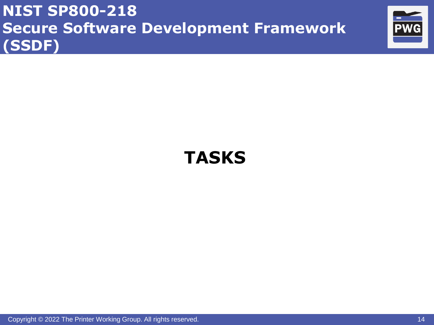

# **TASKS**

Copyright © 2022 The Printer Working Group. All rights reserved. 14 All 14 All 14 All 14 All 14 All 14 All 14 All 14 All 14 All 14 All 14 All 14 All 14 All 14 All 14 All 14 All 14 All 14 All 14 All 14 All 14 All 14 All 14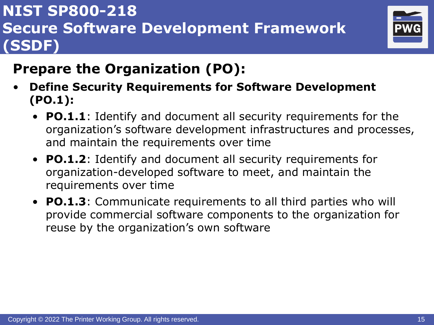

- **Define Security Requirements for Software Development (PO.1):**
	- **PO.1.1**: Identify and document all security requirements for the organization's software development infrastructures and processes, and maintain the requirements over time
	- **PO.1.2**: Identify and document all security requirements for organization-developed software to meet, and maintain the requirements over time
	- **PO.1.3**: Communicate requirements to all third parties who will provide commercial software components to the organization for reuse by the organization's own software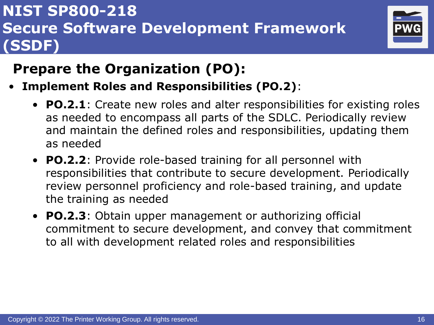

- **Implement Roles and Responsibilities (PO.2)**:
	- **PO.2.1**: Create new roles and alter responsibilities for existing roles as needed to encompass all parts of the SDLC. Periodically review and maintain the defined roles and responsibilities, updating them as needed
	- **PO.2.2**: Provide role-based training for all personnel with responsibilities that contribute to secure development. Periodically review personnel proficiency and role-based training, and update the training as needed
	- **PO.2.3**: Obtain upper management or authorizing official commitment to secure development, and convey that commitment to all with development related roles and responsibilities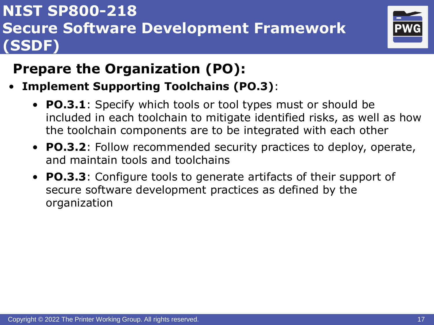

- **Implement Supporting Toolchains (PO.3)**:
	- **PO.3.1**: Specify which tools or tool types must or should be included in each toolchain to mitigate identified risks, as well as how the toolchain components are to be integrated with each other
	- **PO.3.2**: Follow recommended security practices to deploy, operate, and maintain tools and toolchains
	- **PO.3.3**: Configure tools to generate artifacts of their support of secure software development practices as defined by the organization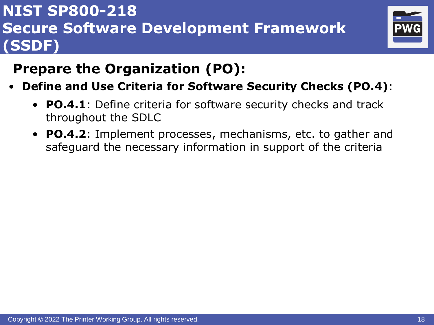

- **Define and Use Criteria for Software Security Checks (PO.4)**:
	- **PO.4.1**: Define criteria for software security checks and track throughout the SDLC
	- **PO.4.2**: Implement processes, mechanisms, etc. to gather and safeguard the necessary information in support of the criteria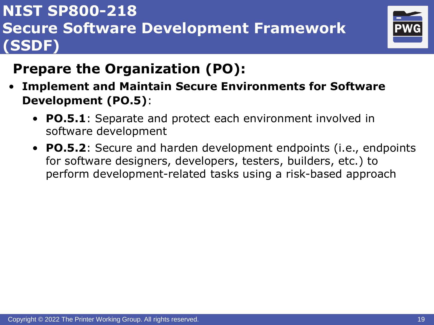

- **Implement and Maintain Secure Environments for Software Development (PO.5)**:
	- **PO.5.1**: Separate and protect each environment involved in software development
	- **PO.5.2**: Secure and harden development endpoints (i.e., endpoints for software designers, developers, testers, builders, etc.) to perform development-related tasks using a risk-based approach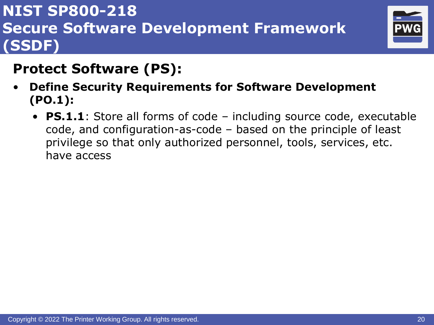

#### **Protect Software (PS):**

- **Define Security Requirements for Software Development (PO.1):**
	- **PS.1.1**: Store all forms of code including source code, executable code, and configuration-as-code – based on the principle of least privilege so that only authorized personnel, tools, services, etc. have access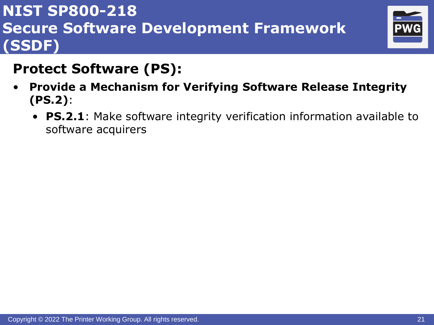

#### **Protect Software (PS):**

- **Provide a Mechanism for Verifying Software Release Integrity (PS.2)**:
	- **PS.2.1**: Make software integrity verification information available to software acquirers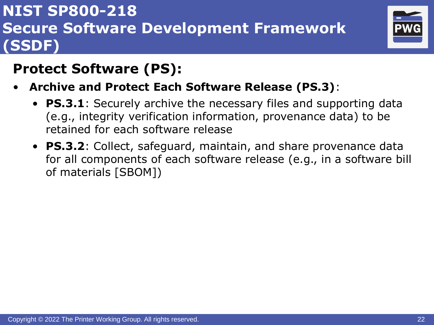

## **Protect Software (PS):**

- **Archive and Protect Each Software Release (PS.3)**:
	- **PS.3.1**: Securely archive the necessary files and supporting data (e.g., integrity verification information, provenance data) to be retained for each software release
	- **PS.3.2**: Collect, safeguard, maintain, and share provenance data for all components of each software release (e.g., in a software bill of materials [SBOM])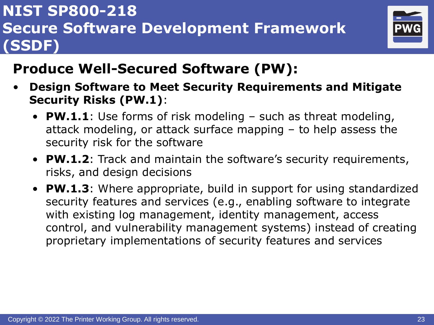

- **Design Software to Meet Security Requirements and Mitigate Security Risks (PW.1)**:
	- **PW.1.1**: Use forms of risk modeling such as threat modeling, attack modeling, or attack surface mapping – to help assess the security risk for the software
	- **PW.1.2**: Track and maintain the software's security requirements, risks, and design decisions
	- **PW.1.3**: Where appropriate, build in support for using standardized security features and services (e.g., enabling software to integrate with existing log management, identity management, access control, and vulnerability management systems) instead of creating proprietary implementations of security features and services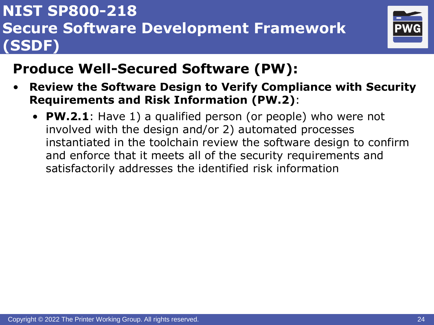

- **Review the Software Design to Verify Compliance with Security Requirements and Risk Information (PW.2)**:
	- **PW.2.1**: Have 1) a qualified person (or people) who were not involved with the design and/or 2) automated processes instantiated in the toolchain review the software design to confirm and enforce that it meets all of the security requirements and satisfactorily addresses the identified risk information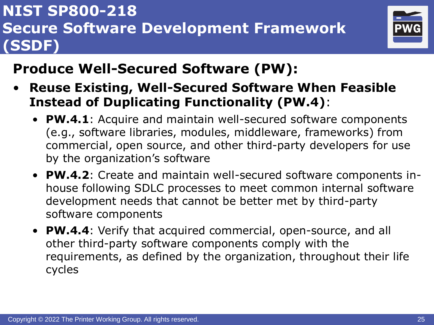

- **Reuse Existing, Well-Secured Software When Feasible Instead of Duplicating Functionality (PW.4)**:
	- **PW.4.1**: Acquire and maintain well-secured software components (e.g., software libraries, modules, middleware, frameworks) from commercial, open source, and other third-party developers for use by the organization's software
	- **PW.4.2**: Create and maintain well-secured software components inhouse following SDLC processes to meet common internal software development needs that cannot be better met by third-party software components
	- **PW.4.4**: Verify that acquired commercial, open-source, and all other third-party software components comply with the requirements, as defined by the organization, throughout their life cycles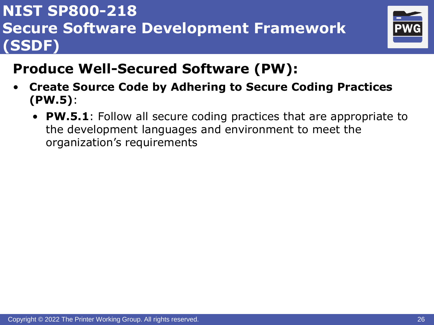

- **Create Source Code by Adhering to Secure Coding Practices (PW.5)**:
	- **PW.5.1**: Follow all secure coding practices that are appropriate to the development languages and environment to meet the organization's requirements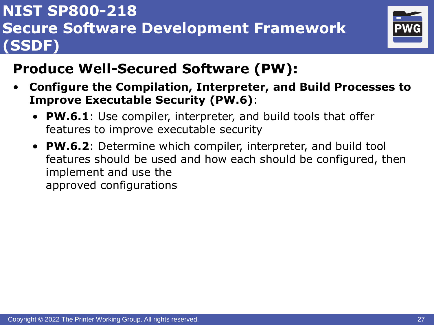

- **Configure the Compilation, Interpreter, and Build Processes to Improve Executable Security (PW.6)**:
	- **PW.6.1**: Use compiler, interpreter, and build tools that offer features to improve executable security
	- **PW.6.2**: Determine which compiler, interpreter, and build tool features should be used and how each should be configured, then implement and use the approved configurations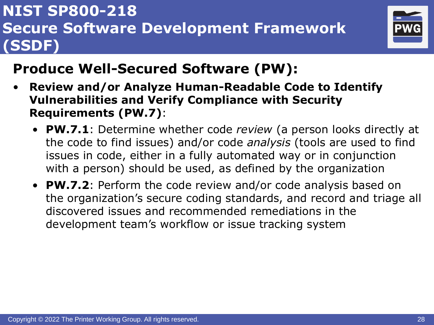

- **Review and/or Analyze Human-Readable Code to Identify Vulnerabilities and Verify Compliance with Security Requirements (PW.7)**:
	- **PW.7.1**: Determine whether code *review* (a person looks directly at the code to find issues) and/or code *analysis* (tools are used to find issues in code, either in a fully automated way or in conjunction with a person) should be used, as defined by the organization
	- **PW.7.2**: Perform the code review and/or code analysis based on the organization's secure coding standards, and record and triage all discovered issues and recommended remediations in the development team's workflow or issue tracking system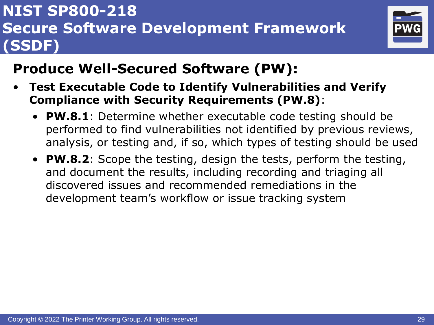

- **Test Executable Code to Identify Vulnerabilities and Verify Compliance with Security Requirements (PW.8)**:
	- **PW.8.1**: Determine whether executable code testing should be performed to find vulnerabilities not identified by previous reviews, analysis, or testing and, if so, which types of testing should be used
	- **PW.8.2**: Scope the testing, design the tests, perform the testing, and document the results, including recording and triaging all discovered issues and recommended remediations in the development team's workflow or issue tracking system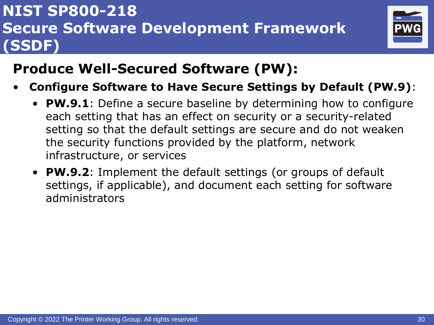

- **Configure Software to Have Secure Settings by Default (PW.9)**:
	- **PW.9.1**: Define a secure baseline by determining how to configure each setting that has an effect on security or a security-related setting so that the default settings are secure and do not weaken the security functions provided by the platform, network infrastructure, or services
	- **PW.9.2**: Implement the default settings (or groups of default settings, if applicable), and document each setting for software administrators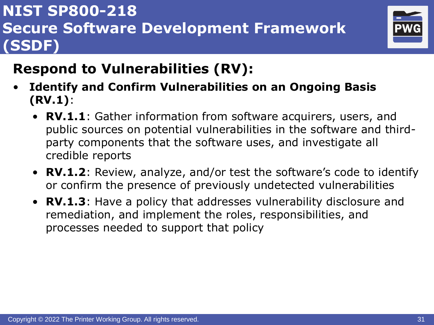

# **Respond to Vulnerabilities (RV):**

- **Identify and Confirm Vulnerabilities on an Ongoing Basis (RV.1)**:
	- **RV.1.1**: Gather information from software acquirers, users, and public sources on potential vulnerabilities in the software and thirdparty components that the software uses, and investigate all credible reports
	- **RV.1.2**: Review, analyze, and/or test the software's code to identify or confirm the presence of previously undetected vulnerabilities
	- **RV.1.3**: Have a policy that addresses vulnerability disclosure and remediation, and implement the roles, responsibilities, and processes needed to support that policy